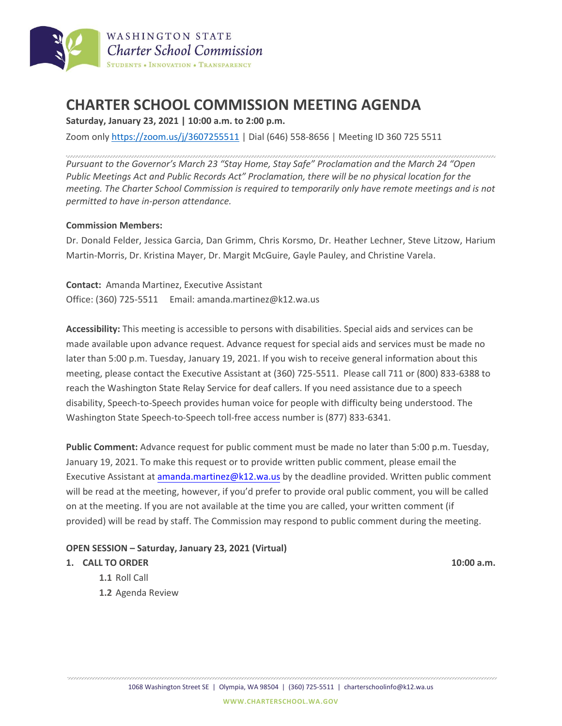

# **CHARTER SCHOOL COMMISSION MEETING AGENDA**

**Saturday, January 23, 2021 | 10:00 a.m. to 2:00 p.m.**

Zoom only <https://zoom.us/j/3607255511> | Dial (646) 558-8656 | Meeting ID 360 725 5511

*Pursuant to the Governor's March 23 "Stay Home, Stay Safe" Proclamation and the March 24 "Open Public Meetings Act and Public Records Act" Proclamation, there will be no physical location for the meeting. The Charter School Commission is required to temporarily only have remote meetings and is not permitted to have in-person attendance.* 

### **Commission Members:**

Dr. Donald Felder, Jessica Garcia, Dan Grimm, Chris Korsmo, Dr. Heather Lechner, Steve Litzow, Harium Martin-Morris, Dr. Kristina Mayer, Dr. Margit McGuire, Gayle Pauley, and Christine Varela.

**Contact:** Amanda Martinez, Executive Assistant Office: (360) 725-5511 Email: amanda.martinez@k12.wa.us

**Accessibility:** This meeting is accessible to persons with disabilities. Special aids and services can be made available upon advance request. Advance request for special aids and services must be made no later than 5:00 p.m. Tuesday, January 19, 2021. If you wish to receive general information about this meeting, please contact the Executive Assistant at (360) 725-5511. Please call 711 or (800) 833-6388 to reach the Washington State Relay Service for deaf callers. If you need assistance due to a speech disability, Speech-to-Speech provides human voice for people with difficulty being understood. The Washington State Speech-to-Speech toll-free access number is (877) 833-6341.

**Public Comment:** Advance request for public comment must be made no later than 5:00 p.m. Tuesday, January 19, 2021. To make this request or to provide written public comment, please email the Executive Assistant a[t amanda.martinez@k12.wa.us](mailto:amanda.martinez@k12.wa.us) by the deadline provided. Written public comment will be read at the meeting, however, if you'd prefer to provide oral public comment, you will be called on at the meeting. If you are not available at the time you are called, your written comment (if provided) will be read by staff. The Commission may respond to public comment during the meeting.

## **OPEN SESSION – Saturday, January 23, 2021 (Virtual)**

#### **1. CALL TO ORDER 10:00 a.m.**

- **1.1** Roll Call
- **1.2** Agenda Review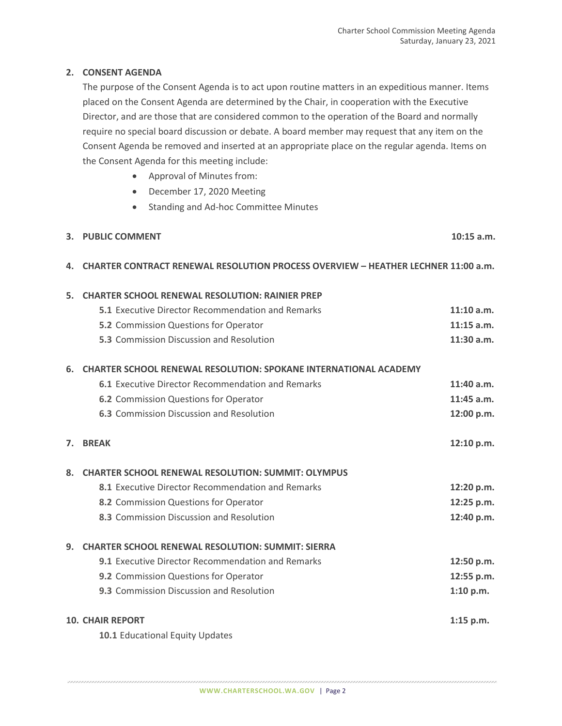## **2. CONSENT AGENDA**

The purpose of the Consent Agenda is to act upon routine matters in an expeditious manner. Items placed on the Consent Agenda are determined by the Chair, in cooperation with the Executive Director, and are those that are considered common to the operation of the Board and normally require no special board discussion or debate. A board member may request that any item on the Consent Agenda be removed and inserted at an appropriate place on the regular agenda. Items on the Consent Agenda for this meeting include:

- Approval of Minutes from:
- December 17, 2020 Meeting
- Standing and Ad-hoc Committee Minutes

| 3. PUBLIC COMMENT | $10:15$ a.m. |
|-------------------|--------------|
|                   |              |

## **4. CHARTER CONTRACT RENEWAL RESOLUTION PROCESS OVERVIEW – HEATHER LECHNER 11:00 a.m.**

| 5.                      | <b>CHARTER SCHOOL RENEWAL RESOLUTION: RAINIER PREP</b>                  |              |  |  |
|-------------------------|-------------------------------------------------------------------------|--------------|--|--|
|                         | <b>5.1 Executive Director Recommendation and Remarks</b>                | 11:10 a.m.   |  |  |
|                         | <b>5.2</b> Commission Questions for Operator                            | $11:15$ a.m. |  |  |
|                         | 5.3 Commission Discussion and Resolution                                | 11:30 a.m.   |  |  |
| 6.                      | <b>CHARTER SCHOOL RENEWAL RESOLUTION: SPOKANE INTERNATIONAL ACADEMY</b> |              |  |  |
|                         | <b>6.1 Executive Director Recommendation and Remarks</b>                | 11:40 a.m.   |  |  |
|                         | <b>6.2</b> Commission Questions for Operator                            | $11:45$ a.m. |  |  |
|                         | <b>6.3</b> Commission Discussion and Resolution                         | 12:00 p.m.   |  |  |
| 7.                      | <b>BREAK</b>                                                            | 12:10 p.m.   |  |  |
| 8.                      | <b>CHARTER SCHOOL RENEWAL RESOLUTION: SUMMIT: OLYMPUS</b>               |              |  |  |
|                         | 8.1 Executive Director Recommendation and Remarks                       | 12:20 p.m.   |  |  |
|                         | 8.2 Commission Questions for Operator                                   | 12:25 p.m.   |  |  |
|                         | 8.3 Commission Discussion and Resolution                                | 12:40 p.m.   |  |  |
| 9.                      | <b>CHARTER SCHOOL RENEWAL RESOLUTION: SUMMIT: SIERRA</b>                |              |  |  |
|                         | <b>9.1</b> Executive Director Recommendation and Remarks                | 12:50 p.m.   |  |  |
|                         | 9.2 Commission Questions for Operator                                   | 12:55 p.m.   |  |  |
|                         | <b>9.3</b> Commission Discussion and Resolution                         | 1:10 p.m.    |  |  |
| <b>10. CHAIR REPORT</b> |                                                                         |              |  |  |
|                         | 10.1 Educational Equity Updates                                         |              |  |  |